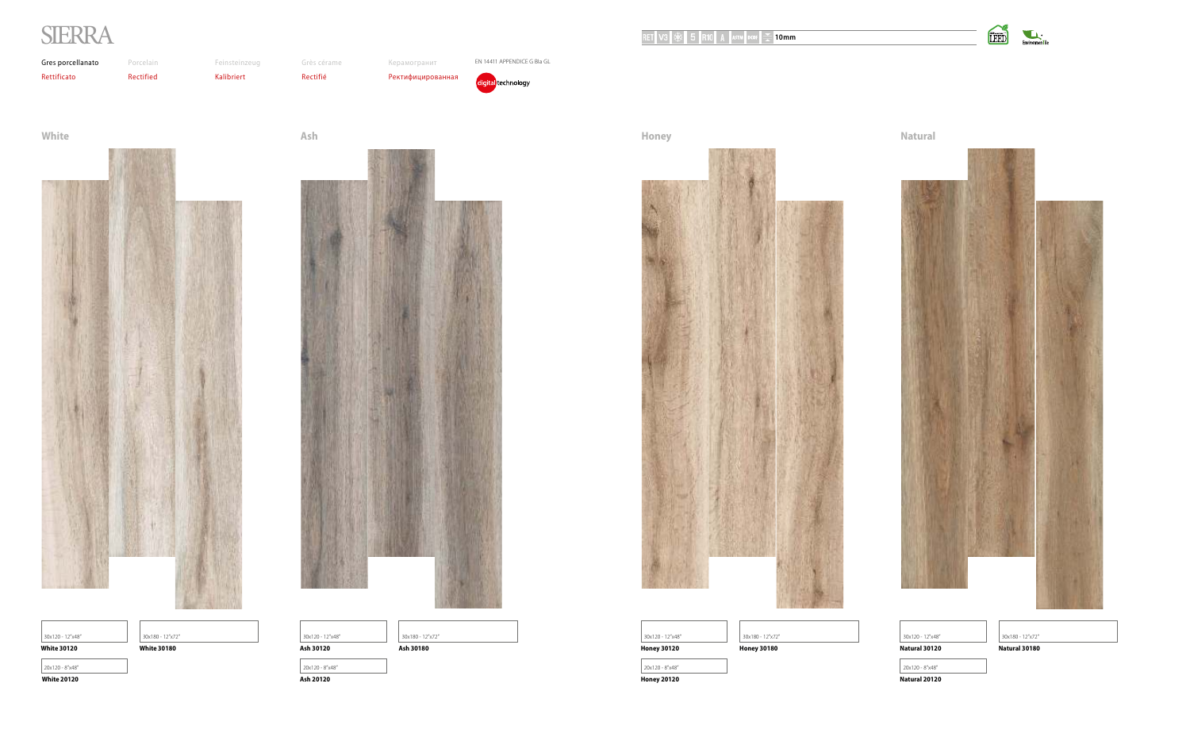**Honey Natural**



| 30x120 - 12"x48"   | 30x180 |
|--------------------|--------|
| <b>Honey 30120</b> | Honey  |
| 20x120 - 8"x48"    |        |
| <b>Honey 20120</b> |        |













**Honey 20120 Natural 20120**

**Honey 30120 Honey 30180 Natural 30120 Natural 30180**

30x120 - 12"x48" 30x180 - 12"x72" 30x120 - 12"x48" 30x180 - 12"x72"

 $20x120 - 8"x48"$ 

# SIERRA

### **RET V3**  $\frac{1}{2}$  **10 R10** A ASTM DCOF  $\frac{1}{2}$  **10mm**



Grès cérame Rectifié



Керамогранит Ректифицированная EN 14411 APPENDICE G BIa GL

digital technology

 **White 20120 Ash 20120**



| 30x120 - 12"x48"   | 30x180 - 12"x72"   | 30x120 - 12"x48" | 30x180 - 12"x72" |
|--------------------|--------------------|------------------|------------------|
| <b>White 30120</b> | <b>White 30180</b> | Ash 30120        | Ash 30180        |
| 20x120 - 8"x48"    |                    | 20x120 - 8"x48"  |                  |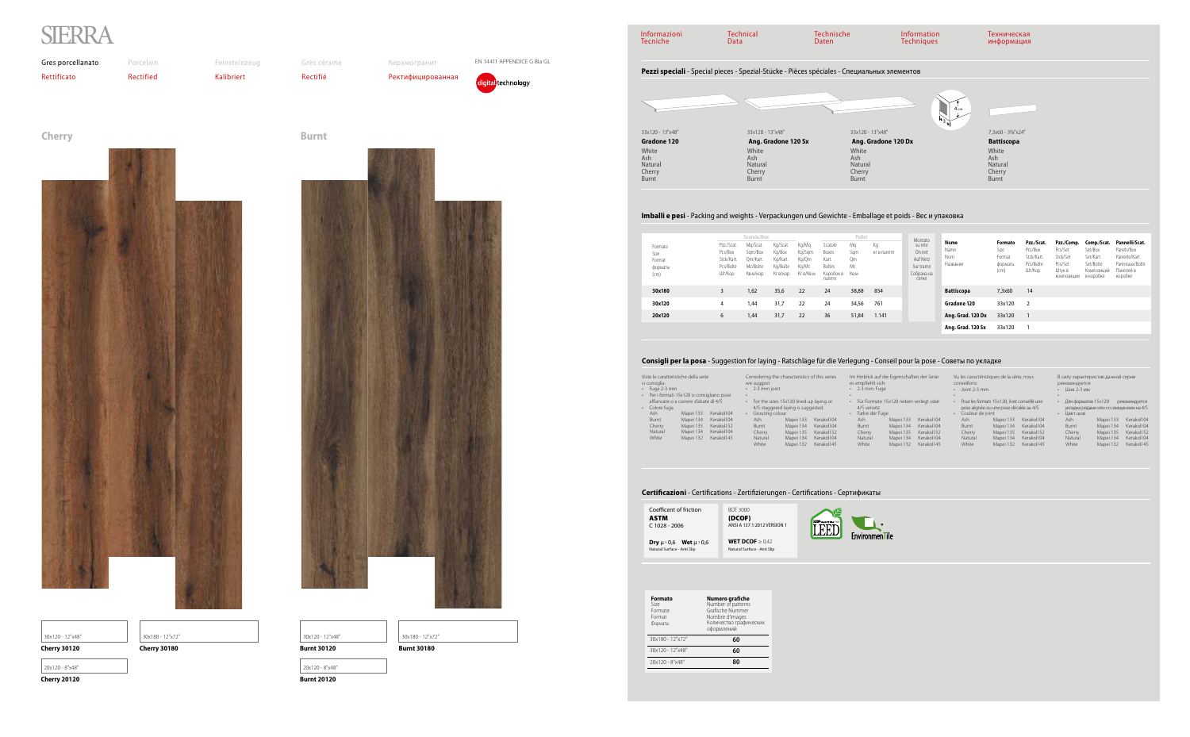| Informazioni<br><b>Tecniche</b>            | <b>Technical</b><br>Data                                                                    | <b>Technische</b><br>Daten                        | Information<br><b>Techniques</b> | Техническая<br>информация                         |  |  |  |
|--------------------------------------------|---------------------------------------------------------------------------------------------|---------------------------------------------------|----------------------------------|---------------------------------------------------|--|--|--|
|                                            | Pezzi speciali - Special pieces - Spezial-Stücke - Pièces spéciales - Специальных элементов |                                                   |                                  |                                                   |  |  |  |
|                                            |                                                                                             |                                                   | 4 <sub>cm</sub><br>$+3)$         |                                                   |  |  |  |
| 33x120 - 13"x48"                           | 33x120 - 13"x48"                                                                            | 33x120 - 13"x48"                                  |                                  | 7,3x60 - 3%"x24"                                  |  |  |  |
| <b>Gradone 120</b>                         | Ang. Gradone 120 Sx                                                                         | Ang. Gradone 120 Dx                               |                                  | <b>Battiscopa</b>                                 |  |  |  |
| White<br>Ash<br>Natural<br>Cherry<br>Burnt | White<br>Ash<br>Natural<br>Cherry<br>Burnt                                                  | White<br>Ash<br>Natural<br>Cherry<br><b>Burnt</b> |                                  | White<br>Ash<br><b>Natural</b><br>Cherry<br>Burnt |  |  |  |

33x120 - 13"x48" **Gradone 120**  White Ash Natural Cherry Burnt 33x120 - 13"x48" **Ang. Gradon** White Ash Natural Cherry Burnt

#### **Imballi e pesi** - Packing and weights - Verpackungen und Gewichte - Emballage et poids - Вес и упаковка

#### **Consigli per la posa** - Suggestion for laying - Ratschläge für die Verlegung - Conseil pour la pose - Советы по укладке

| Coefficent of friction                        | BOT 3000                    |
|-----------------------------------------------|-----------------------------|
| <b>ASTM</b>                                   | (DCOF)                      |
| $C$ 1028 - 2006                               | ANSI A 137.1:2012 VERSION 1 |
| <b>Dry</b> $\mu$ > 0,6 <b>Wet</b> $\mu$ > 0,6 | WET DCOF $\geq 0.42$        |
| Natural Surface - Anti Slip                   | Natural Surface - Anti Slip |



|                          | Viste le caratteristiche della serie     |             | Considering the cha                     |           |
|--------------------------|------------------------------------------|-------------|-----------------------------------------|-----------|
| si consiglia:            |                                          |             | we suggest:                             |           |
| Fuga 2-3 mm              |                                          |             | 2-3 mm joint                            |           |
| $\bullet$                | Per i formati 15x120 si consigliano pose |             |                                         |           |
|                          | affiancate o a correre sfalsate di 4/5   |             | For the sizes 15x<br>$\bullet$          |           |
| Colore fuga<br>$\bullet$ |                                          |             | 4/5 staggered la                        |           |
| Ash                      | Mapei 133                                | Kerakoll 04 | Grouting colour<br>$\ddot{\phantom{0}}$ |           |
| Burnt                    | Mapei 134                                | Kerakoll 04 | Ash                                     | N         |
| Cherry                   | Mapei 135                                | Kerakoll 52 | Burnt                                   | Λ         |
| Natural                  | Mapei 134                                | Kerakoll 04 | Cherry                                  | $\Lambda$ |
| White                    | Mapei 132                                | Kerakoll 45 | Natural                                 | $\Lambda$ |
|                          |                                          |             | White                                   | $\Lambda$ |
|                          |                                          |             |                                         |           |

#### **Certificazioni** - Certifications - Zertifizierungen - Certifications - Сертификаты

| Considering the characteristics of this series                                                                                                                                                                                                                                            | Im Hinblick auf die Eigenschaften der Serie                                                                                                                                                                                                                                   | Vu les caractéristiques de la série, nous                                                                                                                                                                                                                                                              | В силу характеристик данной серии                                                                                                                                                                                                                                                    |
|-------------------------------------------------------------------------------------------------------------------------------------------------------------------------------------------------------------------------------------------------------------------------------------------|-------------------------------------------------------------------------------------------------------------------------------------------------------------------------------------------------------------------------------------------------------------------------------|--------------------------------------------------------------------------------------------------------------------------------------------------------------------------------------------------------------------------------------------------------------------------------------------------------|--------------------------------------------------------------------------------------------------------------------------------------------------------------------------------------------------------------------------------------------------------------------------------------|
| we suggest:                                                                                                                                                                                                                                                                               | es empfiehlt sich:                                                                                                                                                                                                                                                            | conseillons:                                                                                                                                                                                                                                                                                           | рекомендуется:                                                                                                                                                                                                                                                                       |
| $\cdot$ 2-3 mm ioint                                                                                                                                                                                                                                                                      | $\cdot$ 2-3 mm. Fuge                                                                                                                                                                                                                                                          | Joint 2-3 mm                                                                                                                                                                                                                                                                                           | Шов 2-3 мм                                                                                                                                                                                                                                                                           |
| For the sizes 15x120 lined up laying or<br>4/5 staggered laying is suggested<br>Grouting colour<br>Mapei 133<br>Kerakoll 04<br>Ash<br>Mapei 134<br>Kerakoll 04<br>Burnt<br>Kerakoll 52<br>Mapei 135<br>Cherry<br>Kerakoll 04<br>Mapei 134<br>Natural<br>White<br>Kerakoll 45<br>Mapei 132 | Für Formate 15x120 neben verlegt oder<br>$\bullet$<br>4/5 versetz<br>Farbe der Fuge<br>Kerakoll 04<br>Mapei 133<br>Ash<br>Kerakoll 04<br>Mapei 134<br>Burnt<br>Kerakoll 52<br>Mapei 135<br>Cherry<br>Kerakoll 04<br>Mapei 134<br>Natural<br>Kerakoll 45<br>White<br>Mapei 132 | Pour les formats 15x120, il est conseillé une<br>pose alignée ou une pose décalée au 4/5<br>Couleur de joint<br>Ash<br>Mapei 133<br>Kerakoll 04<br>Mapei 134<br>Kerakoll 04<br>Burnt<br>Kerakoll 52<br>Mapei 135<br>Cherry<br>Kerakoll 04<br>Mapei 134<br>Natural<br>White<br>Mapei 132<br>Kerakoll 45 | Для форматов 15х120<br>рекомендуется<br>укладка рядами или со смещением на 4/5<br>Цвет шов<br>Kerakoll 04<br>Ash<br>Mapei 133<br>Kerakoll 04<br>Mapei 134<br>Burnt<br>Kerakoll 52<br>Mapei 135<br>Cherry<br>Kerakoll 04<br>Natural<br>Mapei 134<br>Kerakoll 45<br>White<br>Mapei 132 |

|                                              |                                                             | Scatola/Box                                              |                                                         |                                                |                                                            | Pallet                        |                   | Montato                                                           |                                 |                                              |                                                             |                                                                      |                                                                             |                                                                                         |
|----------------------------------------------|-------------------------------------------------------------|----------------------------------------------------------|---------------------------------------------------------|------------------------------------------------|------------------------------------------------------------|-------------------------------|-------------------|-------------------------------------------------------------------|---------------------------------|----------------------------------------------|-------------------------------------------------------------|----------------------------------------------------------------------|-----------------------------------------------------------------------------|-----------------------------------------------------------------------------------------|
| Formato<br>Size<br>Format<br>форматы<br>(cm) | Pzz./Scat.<br>Pcs/Box<br>Stck/Kart.<br>Pcs/Boîte<br>Шт/Кор. | Mg/Scat.<br>Sam/Box<br>Qm/Kart.<br>Mc/Boîte<br>Кв.м/кор. | Kg/Scat.<br>Kg/Box<br>Kg/Kart.<br>Kg/Boîte<br>Кг в/кор. | Kg/Mg<br>Kg/Sgm<br>Kg/Qm<br>Kg/Mc<br>Кг в/Кв.м | Scatole<br>Boxes<br>Kart.<br>Boîtes<br>Коробок в<br>палете | Mg<br>Sam<br>Qm<br>Mc<br>Кв.м | Кg<br>кг в палете | su rete<br>On net<br>Auf Netz<br>Sur trame<br>Собрана на<br>сетке | Nome<br>Name<br>Nom<br>Название | Formato<br>Size<br>Format<br>форматы<br>(cm) | Pzz./Scat.<br>Pcs/Box<br>Stck/Kart.<br>Pcs/Boîte<br>Шт/Кор. | Pzz./Comp.<br>Pcs/Set<br>Stck/Set<br>Pcs/Set<br>Штук в<br>КОМПОЗИЦИИ | Comp./Scat.<br>Set/Box<br>Set/Kart.<br>Set/Boîte<br>Композиций<br>в коробке | Pannelli/Scat.<br>Panels/Box<br>Paneele/Kart.<br>Panneaux/Boîte<br>Панелей в<br>коробке |
| 30x180                                       | 3                                                           | 1,62                                                     | 35,6                                                    | 22                                             | 24                                                         | 38,88                         | 854               |                                                                   | <b>Battiscopa</b>               | 7,3x60                                       | 14                                                          |                                                                      |                                                                             |                                                                                         |
| 30x120                                       | 4                                                           | 1,44                                                     | 31,7                                                    | 22                                             | 24                                                         | 34,56                         | 761               |                                                                   | Gradone 120                     | 33x120                                       | $\overline{2}$                                              |                                                                      |                                                                             |                                                                                         |
| 20x120                                       | 6                                                           | 1,44                                                     | 31,7                                                    | 22                                             | 36                                                         | 51,84                         | 1.141             |                                                                   | Ang. Grad. 120 Dx               | 33x120                                       |                                                             |                                                                      |                                                                             |                                                                                         |
|                                              |                                                             |                                                          |                                                         |                                                |                                                            |                               |                   |                                                                   | Ang. Grad. 120 Sx               | 33x120                                       |                                                             |                                                                      |                                                                             |                                                                                         |

| Formato<br>Size<br>Formate<br>Format<br>Форматы | Numero grafiche<br>Number of patterns<br>Grafische Nummer<br>Nombre d'images<br>Количество графических<br>оформлений |
|-------------------------------------------------|----------------------------------------------------------------------------------------------------------------------|
| $30x180 - 12"x72"$                              | 60                                                                                                                   |
| $30x120 - 12"x48"$                              | 60                                                                                                                   |
| 20x120 - 8"x48"                                 | ጸበ                                                                                                                   |

# |<br>| 30x180 - 12"x72" | 30x120 - 12"x48" | 30x120 - 12"x48" | 30x180 - 12"x72"

**Cherry 20120 Burnt 20120**

20x120 - 8"x48" 20x120 - 8"x48"







| $30x120 - 12$ " |  |
|-----------------|--|
|-----------------|--|

# SIERRA

Grès cérame

Rectifié

Керамогранит

Ректифицированная



EN 14411 APPENDICE G BIa GL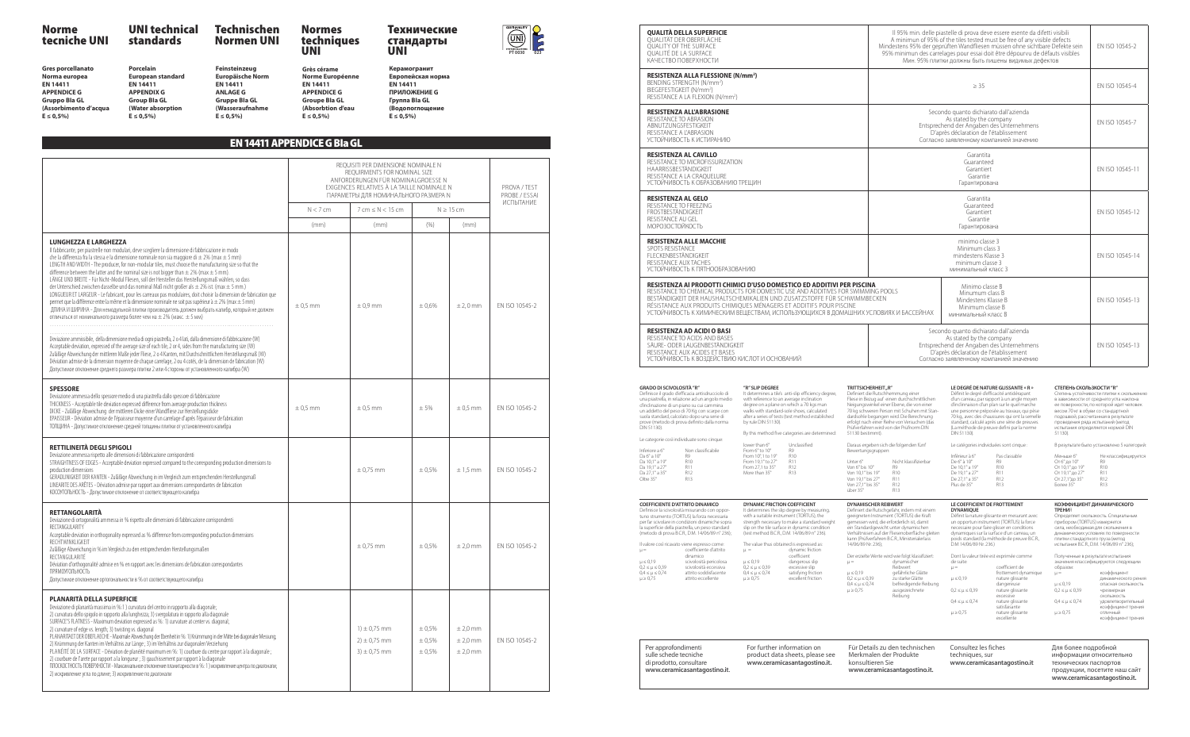**Gres porcellanato Norma europea EN 14411 APPENDICE G Gruppo BIa GL (Assorbimento d'acqua E ≤ 0,5%)**

**(Water absorption**   $E \le 0.5\%$ 

**Porcelain European standard EN 14411 APPENDIX G Group BIa GL**

**Керамогранит Европейская норма EN 14411 ПРИЛОЖЕНИЕ G Группа BIa GL (Водопоглощение**   $E \le 0.5\%$ 

**Feinsteinzeug Europäische Norm EN 14411 ANLAGE G Gruppe BIa GL (Wasseraufnahme E ≤ 0,5%) Grès cérame Norme Européenne EN 14411 APPENDICE G (Absorbtion d'eau E ≤ 0,5%)**

**Groupe BIa GL** 

#### EN 14411 APPENDICE G BIa GL

|                                                                                                                                                                                                                                                                                                                                                                                                                                                                                                                                                                                                                                                                                                                                                                                                                                                                                                                                                                                                                                                                                                          |              | REQUISITI PER DIMENSIONE NOMINALE N<br>REOUIRMENTS FOR NOMINAL SIZE<br>ANFORDERUNGEN FÜR NOMINALGROESSE N<br>EXIGENCES RELATIVES À LA TAILLE NOMINALE N<br>ПАРАМЕТРЫ ДЛЯ НОМИНАЛЬНОГО РАЗМЕРА N |                            |                                        | PROVA / TEST<br>PROBE / ESSAI |
|----------------------------------------------------------------------------------------------------------------------------------------------------------------------------------------------------------------------------------------------------------------------------------------------------------------------------------------------------------------------------------------------------------------------------------------------------------------------------------------------------------------------------------------------------------------------------------------------------------------------------------------------------------------------------------------------------------------------------------------------------------------------------------------------------------------------------------------------------------------------------------------------------------------------------------------------------------------------------------------------------------------------------------------------------------------------------------------------------------|--------------|-------------------------------------------------------------------------------------------------------------------------------------------------------------------------------------------------|----------------------------|----------------------------------------|-------------------------------|
|                                                                                                                                                                                                                                                                                                                                                                                                                                                                                                                                                                                                                                                                                                                                                                                                                                                                                                                                                                                                                                                                                                          | $N < 7$ cm   | $7$ cm $\leq N < 15$ cm                                                                                                                                                                         |                            | $N \geq 15$ cm                         | ИСПЫТАНИЕ                     |
|                                                                                                                                                                                                                                                                                                                                                                                                                                                                                                                                                                                                                                                                                                                                                                                                                                                                                                                                                                                                                                                                                                          | (mm)         | (mm)                                                                                                                                                                                            | (% )                       | (mm)                                   |                               |
| <b>LUNGHEZZA E LARGHEZZA</b><br>Il fabbricante, per piastrelle non modulari, deve scegliere la dimensione di fabbricazione in modo<br>che la differenza fra la stessa e la dimensione nominale non sia maggiore di $\pm$ 2% (max $\pm$ 5 mm)<br>LENGTH AND WIDTH - The producer, for non-modular tiles, must choose the manufacturing size so that the<br>difference between the latter and the nominal size is not bigger than $\pm$ 2% (max $\pm$ 5 mm).<br>LÄNGE UND BREITE - Für Nicht-Modul Fliesen, soll der Hersteller das Herstellungsmaß wählen, so dass<br>der Unterschied zwischen dasselbe und das nominal Maß nicht großer als $\pm$ 2% ist. (max $\pm$ 5 mm.)<br>LONGUEUR ET LARGEUR - Le fabricant, pour les carreaux pas modulaires, doit choisir la dimension de fabrication que<br>permet que la différence entre la même et la dimensione nominale ne soit pas supérieur à $\pm$ 2% (max $\pm$ 5 mm)<br>ДЛИНА И ШИРИНА - Для немодульной плитки производитель должен выбрать калибр, который не должен<br>отличаться от номинального размера более чем на $\pm$ 2% (макс. $\pm$ 5 мм) | $\pm$ 0,5 mm | $\pm 0.9$ mm                                                                                                                                                                                    | $\pm 0.6\%$                | $±$ 2,0 mm                             | EN ISO 10545-2                |
| Deviazione ammissibile, della dimensione media di ogni piastrella, 2 o 4 lati, dalla dimensione di fabbricazione (W)<br>Acceptable deviation, expressed of the average size of each tile, 2 or 4, sides from the manufacturing size (W)<br>Zuläßige Abweichung der mittleren Maße jeder Fliese, 2 o 4 Kanten, mit Durchschnittlichem Herstellungsmaß (W)<br>Déviation admise de la dimension moyenne de chaque carrelage, 2 ou 4 cotés, de la dimension de fabrication (W)<br>Допустимое отклонение среднего размера плитки 2 или 4 стороны от установленного калибра (W)                                                                                                                                                                                                                                                                                                                                                                                                                                                                                                                                |              |                                                                                                                                                                                                 |                            |                                        |                               |
| <b>SPESSORE</b><br>Deviazione ammessa dello spessore medio di una piastrella dallo spessore di fabbricazione<br>THICKNESS - Acceptable tile deviation expressed difference from average production thickness<br>DICKE - Zuläßige Abweichung der mittleren Dicke einer Wandfliese zur Herstellungsdicke<br>EPAISSEUR - Déviation admise de l'épaisseur moyenne d'un carrelage d'après l'épaisseur de fabrication<br>ТОЛЩИНА - Допустимое отклонение средней толщины плитки от установленного калибра                                                                                                                                                                                                                                                                                                                                                                                                                                                                                                                                                                                                      | $\pm$ 0,5 mm | $\pm$ 0.5 mm                                                                                                                                                                                    | ± 5%                       | $\pm$ 0,5 mm                           | EN ISO 10545-2                |
| RETTILINEITÀ DEGLI SPIGOLI<br>Deviazione ammessa rispetto alle dimensioni di fabbricazione corrispondenti<br>STRAIGHTNESS OF EDGES - Acceptable deviation expressed compared to the corresponding production dimensions to<br>production dimensions<br>GERADLINIGKEIT DER KANTEN - Zuläßige Abweichung in im Vergleich zum entsprechenden Herstellungsmaß<br>LINEARITE DES ARÊTES - Déviation admise par rapport aux dimensions correspondantes de fabrication<br>КОСОУГОЛЬНОСТЬ - Допустимое отклонение от соответствующего калибра                                                                                                                                                                                                                                                                                                                                                                                                                                                                                                                                                                     |              | $\pm$ 0,75 mm                                                                                                                                                                                   | ± 0.5%                     | $± 1.5$ mm                             | EN ISO 10545-2                |
| <b>RETTANGOLARITÀ</b><br>Deviazione di ortogonalità ammessa in % rispetto alle dimensioni di fabbricazione corrispondenti<br>RECTANGULARITY<br>Acceptable deviation in orthogonality expressed as % difference from corresponding production dimensions<br>RECHTWINKLIGKEIT<br>Zuläßige Abweichung in % im Vergleich zu den entsprechenden Herstellungsmaßen<br>RECTANGULARITÉ<br>Déviation d'orthogonalité admise en % en rapport avec les dimensions de fabrication correspondantes<br>ПРЯМОУГОЛЬНОСТЬ<br>Допустимое отклонение ортогональности в % от соответствующего калибра                                                                                                                                                                                                                                                                                                                                                                                                                                                                                                                        |              | $\pm$ 0,75 mm                                                                                                                                                                                   | ± 0.5%                     | $±$ 2,0 mm                             | EN ISO 10545-2                |
| <b>PLANARITÀ DELLA SUPERFICIE</b><br>Deviazione di planarità massima in %:1) curvatura del centro in rapporto alla diagonale;<br>2) curvatura dello spigolo in rapporto alla lunghezza; 3) svergolatura in rapporto alla diagonale<br>SURFACE'S FLATNESS - Maximum deviation expressed as %: 1) curvature at center vs. diagonal;<br>2) curvature of edge vs. length; 3) twisting vs. diagonal<br>PLANARITAET DER OBEFLAECHE - Maximale Abweichung der Ebenheit in %: 1) Krümmung in der Mitte bei diagonaler Messung;<br>2) Krümmung der Kanten im Verhältnis zur Länge; 3) im Verhältnis zur diagonalen Verziehung<br>PLANÉITÉ DE LA SURFACE - Déviation de planéité maximum en %: 1) courbure du centre par rapport à la diagonale;<br>2) courbure de l'arete par rapport a la longueur ; 3) gauchissement par rapport à la diagonale<br>ПЛОСКОСТНОСТЬ ПОВЕРХНОСТИ - Максимальное отклонение планитарности в %: 1) искривление центра по диагонали;<br>2) искривление угла по длине; 3) искривление по диагонали                                                                                      |              | $1) \pm 0.75$ mm<br>$2) \pm 0.75$ mm<br>$3) \pm 0.75$ mm                                                                                                                                        | ± 0.5%<br>± 0.5%<br>± 0,5% | $±$ 2,0 mm<br>$±$ 2,0 mm<br>$±$ 2,0 mm | EN ISO 10545-2                |

**RESISTENZA AD ACIDI O BASI** RESISTANCE TO ACIDS AND BASES SÄURE- ODER LAUGENBESTÄNDIGKEIT RESISTANCE AUX ACIDES ET BASES УСТОЙЧИВОСТЬ К ВОЗДЕЙСТВИЮ КИСЛОТ И ОСНОВА

#### **GRADO DI SCIVOLOSITÀ "R"** Definisce il grado d'efficacia antisdrucciolo di<br>una piastrella, in relazione ad un angolo medio d'inclinazione di un piano su cui cammina un addetto del peso di 70 Kg con scarpe con suola standard, calcolato dopo una serie di<br>prove (metodo di prova definito dalla norma<br>DIN 51130). **"R" SLIP DEGREE** It determines a tile's with reference to an a

Le categorie così individuate sono cinque: By this method five ca lower than 6°

Inferiore a 6° Non classificabile<br>
Da 6° a 10° R9<br>
Da 10,1° a 19° R10<br>
Da 19,1° a 27° R11 Da 6° a 10° R9 Da 10,1° a 19° R10 Da 19,1° a 27° R11<br>Da 27,1° a 35° R12<br>Oltre 35° R13 Da 27,1° a 35° R12 Oltre 35° R13 From  $27.1$  to  $35^\circ$ More than  $35^\circ$ 



**QUALITÀ DELLA SUPERFICIE** QUALITÄT DER OBERFLÄCHE QUALITY OF THE SURFACE QUALITÉ DE LA SURFACE КАЧЕСТВО ПОВЕРХНОСТИ

Il valore così ricavato viene espresso come:<br> $\mu =$  coefficiente d'attrito coefficiente d'attrito dinamico µ ≤ 0,19 scivolosità pericolosa omiarmeo<br>
µ ≤ 0,19 scivolosità pericolosa<br>
0,2 ≤ µ ≤ 0,39 scivolosità eccessiva attrito soddisfacente<br>attrito eccellente  $0.4 \le \mu \le 0.74$ <br> $\mu \ge 0.75$ µ ≤ 0,19 dangerous slip 0,2 ≤ µ ≤ 0,39 excessive slip

**RESISTENZA ALLA FLESSIONE (N/mm<sup>2</sup> )** BENDING STRENGTH (N/mm<sup>2</sup> ) BIEGEFESTIGKEIT (N/mm<sup>2</sup> ) RESISTANCE A LA FLEXION (N/mm<sup>2</sup> )

> Der erzielte Werte wird wie folgt klassifiziert:<br> $\mu =$  dynamischer µ = dynamischer Reibwert

**RESISTENZA ALL'ABRASIONE**  RESISTANCE TO ABRASION ABNUTZUNGSFESTIGKEIT RESISTANCE A L'ABRASION УСТОЙЧИВОСТЬ К ИСТИРАНИЮ

> coefficient de frottement dynamique

µ ≤ 0,19 nature glissante dangereuse 0,2 ≤ µ ≤ 0,39 nature glissante excessive  $0.4 \leq \mu \leq 0.74$  nature glissante

**RESISTENZA AL CAVILLO**

RESISTANCE TO MICROFISSURIZATION HAARRISSBESTÄNDIGKEIT RESISTANCE A LA CRAQUELURE УСТОЙЧИВОСТЬ К ОБРАЗОВАНИЮ ТРЕЩИН

**RESISTENZA AL GELO** RESISTANCE TO FREEZING FROSTBESTÄNDIGKEIT RESISTANCE AU GEL МОРОЗОСТОЙКОСТЬ

**RESISTENZA ALLE MACCHIE**

SPOTS RESISTANCE FLECKENBESTÄNDIGKEIT RESISTANCE AUX TACHES УСТОЙЧИВОСТЬ К ПЯТНООБРАЗОВАНИЮ

**RESISTENZA AI PRODOTTI CHIMICI D'USO DOMEST** RESISTANCE TO CHEMICAL PRODUCTS FOR DOMESTIC BESTÄNDIGKEIT DER HAUSHALTSCHEMIKALIEN UND ZUSATZSTOFFE FÜR SCHWIMMBECKEN RÉSISTANCE AUX PRODUITS CHIMIQUES MÉNAGERS ET ADDITIFS POUR PISCINE УСТОЙЧИВОСТЬ К ХИМИЧЕСКИМ ВЕЩЕСТВАМ, ИСПО

# Norme

## tecniche UNI

UNI technical Technischen

standards

Normen UNI

Normes

UNI

#### techniques стандарты UNI

Технические

|                                                                                                                                                                                                                                                                                                                                                                                                                                                                                                                     |                                                                                                                           | Il 95% min. delle piastelle di prova deve essere esente da difetti visibili<br>A minimun of 95% of the tiles tested must be free of any visible defects<br>Mindestens 95% der geprüften Wandfliesen müssen ohne sichtbare Defekte sein<br>95% minimun des carrelages pour essai doit être dépourvu de défauts visibles<br>Мин. 95% плитки должны быть лишены видимых дефектов                                                                                              | EN ISO 10545-2                                                                                                                                                                                                                                                                                                                                                                                                                                                                                                                                                                                 |                                                                                                                                      |                                                                                                                                                                                                                                                                                                                                                                                                                           |
|---------------------------------------------------------------------------------------------------------------------------------------------------------------------------------------------------------------------------------------------------------------------------------------------------------------------------------------------------------------------------------------------------------------------------------------------------------------------------------------------------------------------|---------------------------------------------------------------------------------------------------------------------------|----------------------------------------------------------------------------------------------------------------------------------------------------------------------------------------------------------------------------------------------------------------------------------------------------------------------------------------------------------------------------------------------------------------------------------------------------------------------------|------------------------------------------------------------------------------------------------------------------------------------------------------------------------------------------------------------------------------------------------------------------------------------------------------------------------------------------------------------------------------------------------------------------------------------------------------------------------------------------------------------------------------------------------------------------------------------------------|--------------------------------------------------------------------------------------------------------------------------------------|---------------------------------------------------------------------------------------------------------------------------------------------------------------------------------------------------------------------------------------------------------------------------------------------------------------------------------------------------------------------------------------------------------------------------|
| mm²)                                                                                                                                                                                                                                                                                                                                                                                                                                                                                                                |                                                                                                                           |                                                                                                                                                                                                                                                                                                                                                                                                                                                                            | $\geq$ 35                                                                                                                                                                                                                                                                                                                                                                                                                                                                                                                                                                                      | FN ISO 10545-4                                                                                                                       |                                                                                                                                                                                                                                                                                                                                                                                                                           |
|                                                                                                                                                                                                                                                                                                                                                                                                                                                                                                                     |                                                                                                                           |                                                                                                                                                                                                                                                                                                                                                                                                                                                                            | Secondo quanto dichiarato dall'azienda<br>As stated by the company<br>Entsprechend der Angaben des Unternehmens<br>D'après déclaration de l'établissement<br>Согласно заявленному компанией значению                                                                                                                                                                                                                                                                                                                                                                                           |                                                                                                                                      | EN ISO 10545-7                                                                                                                                                                                                                                                                                                                                                                                                            |
| РЕЩИН                                                                                                                                                                                                                                                                                                                                                                                                                                                                                                               |                                                                                                                           |                                                                                                                                                                                                                                                                                                                                                                                                                                                                            | Garantita<br>Guaranteed<br>Garantiert<br>Garantie<br>Гарантирована                                                                                                                                                                                                                                                                                                                                                                                                                                                                                                                             |                                                                                                                                      | EN ISO 10545-11                                                                                                                                                                                                                                                                                                                                                                                                           |
|                                                                                                                                                                                                                                                                                                                                                                                                                                                                                                                     |                                                                                                                           |                                                                                                                                                                                                                                                                                                                                                                                                                                                                            | Garantita<br>Guaranteed<br>Garantiert<br>Garantie<br>Гарантирована                                                                                                                                                                                                                                                                                                                                                                                                                                                                                                                             |                                                                                                                                      | EN ISO 10545-12                                                                                                                                                                                                                                                                                                                                                                                                           |
| НИЮ                                                                                                                                                                                                                                                                                                                                                                                                                                                                                                                 |                                                                                                                           |                                                                                                                                                                                                                                                                                                                                                                                                                                                                            | FN ISO 10545-14                                                                                                                                                                                                                                                                                                                                                                                                                                                                                                                                                                                |                                                                                                                                      |                                                                                                                                                                                                                                                                                                                                                                                                                           |
| I D'USO DOMESTICO ED ADDITIVI PER PISCINA<br>FOR DOMESTIC USE AND ADDITIVES FOR SWIMMING POOLS<br>MIKALIEN UND ZUSATZSTOFFE FÜR SCHWIMMBECKEN<br>JES MÉNAGERS ET ADDITIFS POUR PISCINE<br>ЩЕСТВАМ, ИСПОЛЬЗУЮЩИХСЯ В ДОМАШНИХ УСЛОВИЯХ И БАССЕЙНАХ                                                                                                                                                                                                                                                                   |                                                                                                                           |                                                                                                                                                                                                                                                                                                                                                                                                                                                                            | EN ISO 10545-13                                                                                                                                                                                                                                                                                                                                                                                                                                                                                                                                                                                |                                                                                                                                      |                                                                                                                                                                                                                                                                                                                                                                                                                           |
| 1СЛОТ И ОСНОВАНИЙ                                                                                                                                                                                                                                                                                                                                                                                                                                                                                                   |                                                                                                                           |                                                                                                                                                                                                                                                                                                                                                                                                                                                                            | Secondo quanto dichiarato dall'azienda<br>As stated by the company<br>Entsprechend der Angaben des Unternehmens<br>D'après déclaration de l'établissement<br>Согласно заявленному компанией значению                                                                                                                                                                                                                                                                                                                                                                                           |                                                                                                                                      | EN ISO 10545-13                                                                                                                                                                                                                                                                                                                                                                                                           |
| "R" SLIP DEGREE<br>It determines a tile's anti-slip efficiency degree,<br>with reference to an average inclination<br>degree on a plane on which a 70 kgs man<br>walks with standard-sole shoes, calculated<br>after a series of tests (test method established<br>by rule DIN 51130).<br>By this method five categories are determined:<br>Unclassified<br>lower than 6°<br>From 6° to 10°<br>R9<br>From 10°,1 to 19°<br>R10<br>From 19,1° to 27°<br><b>R11</b><br>From 27,1 to 35°<br>R12<br>More than 35°<br>R13 | 51130 bestimmt).<br>Unter 6°<br>Von 6° bis 10°<br>Von 10,1° bis 19°<br>Von 19,1° bis 27°<br>Von 27,1° bis 35°<br>über 35° | TRITTSICHERHEIT"R"<br>Definiert die Rutschhemmung einer<br>Fliese in Bezug auf einen durchschnittlichen<br>Neigungswinkel einer Ebene, die von einer<br>70 kg schweren Person mit Schuhen mit Stan-<br>dardsohle begangen wird. Die Berechnung<br>erfolgt nach einer Reihe von Versuchen (das<br>Prüfverfahren wird von der Prüfnorm DIN<br>Daraus ergeben sich die folgenden fünf<br>Bewertungsgruppen:<br>Nicht klassifizierbar<br>R9<br>R10<br><b>R11</b><br>R12<br>R13 | LE DEGRÉ DE NATURE GLISSANTE « R »<br>Définit le degré d'efficacité antidérapant<br>d'un carreau, par rapport à un angle moyen<br>d'inclinnaison d'un plan sur le quel marche<br>une personne préposée au travaux, qui pèse<br>70 kg., avec des chaussures qui ont la semelle<br>standard, calculé après une série de preuves.<br>(La méthode de preuve defini par la norme<br>DIN 51130).<br>Le catégories individuées sont cinque :<br>Pas classable<br>Inférieur à 6°<br>De 6° à 10°<br>R9<br>De 10,1° a 19°<br>R10<br>De 19,1° a 27°<br>R11<br>De 27,1° a 35°<br>R12<br>Plus de 35°<br>R13 | СТЕПЕНЬ СКОЛЬЗКОСТИ "R"<br>51130).<br>Меньше 6°<br>От 6° до 10°<br>От 10,1° до 19°<br>От 19,1° до 27°<br>От 27,1°до 35°<br>Более 35° | Степень устойчивости плитки к скольжению<br>в зависимости от среднего угла наклона<br>ее поверхности, по которой идет человек<br>весом 70 кг в обуви со стандартной<br>подошвой, рассчитанная в результате<br>проведения ряда испытаний (метод<br>испытания определяется нормой DIN<br>В результате было установлено 5 категорий:<br>Не классифицируется<br>R <sub>9</sub><br>R <sub>10</sub><br><b>R11</b><br>R12<br>R13 |
| DYNAMIC FRICTION COEFFICIENT<br>It determines the slip degree by measuring,<br>with a suitable instrument (TORTUS), the<br>strength necessary to make a standard weight<br>slip on the tile surface in dynamic condition<br>(test method B.C.R., D.M. 14/06/89 n° 236).<br>The value thus obtained is expressed as:<br>dynamic friction                                                                                                                                                                             | 14/06/89 Nr. 236);                                                                                                        | <b>DYNAMISCHER REIBWERT</b><br>Definiert die Rutschgefahr, indem mit einem<br>geeigneten Instrument (TORTUS) die Kraft<br>gemessen wird, die erforderlich ist, damit<br>ein Standardgewicht unter dynamischen<br>Verhältnissen auf der Fliesenoberfläche gleiten<br>kann (Prüfverfahren B.C.R., Ministerialerlass                                                                                                                                                          | LE COEFFICIENT DE FROTTEMENT<br><b>DYNAMIQUE</b><br>Définit la nature glissante en mesurant avec<br>un opportun instrument (TORTUS) la force<br>necessaire pour faire glisser en conditions<br>dynamiques sur la surface d'un carreau, un<br>poids standard (la méthode de preuve B.C.R.,<br>D.M 14/06/89 Nr. 236.)                                                                                                                                                                                                                                                                            | <b>ТРЕНИЯ</b><br>прибором (TORTUS) измеряется                                                                                        | <b>КОЭФФИЦИЕНТ ДИНАМИЧЕСКОГО</b><br>Определяет скользкость. Специальным<br>сила, необходимая для скольжения в<br>динамических условиях по поверхности<br>плитки стандартного груза (метод<br>испытания В.С.R., D.M. 14/06/89 n° 236);                                                                                                                                                                                     |

**COEFFICIENTE D'ATTRITO DINAMICO** Definisce la scivolosità misurando con oppor-<br>tuno strumento (TORTUS) la forza necessaria per far scivolare in condizioni dinamiche sopra la supericie della piastrella, un peso standard (metodo di prova B.C.R., D.M. 14/06/89 n° 236);

> µ ≤ 0,19 gefährliche Glätte 0,2 ≤ µ ≤ 0,39 zu starke Glätte 0,4 ≤ µ ≤ 0,74 befriedigende Reibung µ ≥ 0,75 ausgezeichnete Reibung

Dont la valeur tirée est exprimée comme

satisfaisante

de suite:<br> $\mu =$ 

µ ≥ 0,75 nature glissante excellente

Полученные в результате испытания значения классифицируются следующим образом:

| --------               |                     |
|------------------------|---------------------|
| $\mathsf{u} =$         | коэффициент         |
|                        | динамического рения |
| $\mu \leq 0.19$        | ОПАСНАЯ СКОЛЬЗКОСТЬ |
| $0.2 \le \mu \le 0.39$ | чрезмерная          |
|                        | <b>СКОЛЬЗКОСТЬ</b>  |
| $0.4 \le \mu \le 0.74$ | удовлетворительный  |
|                        | коэффициент трения  |
| $\mu \ge 0.75$         | ОТЛИЧНЫЙ            |
|                        | коэффициент трения  |
|                        |                     |

Per approfondimenti sulle schede tecniche di prodotto, consultare **www.ceramicasantagostino.it**.

**DYNAMIC FRICTION** It determines the slip with a suitable instrum

> The value thus obtaine  $\mu =$

 $\mu \le 0.19$ <br>  $0.2 \le \mu \le 0.39$ <br>  $0.4 \le \mu \le 0.74$ <br>  $\mu \ge 0.75$ <br>  $\alpha \le 0.74$ <br>  $\alpha \ge 0.75$ <br>  $\alpha \le 0.75$ <br>  $\alpha \le 0.75$ <br>  $\alpha \le 0.75$ <br>  $\alpha \le 0.75$  $0.4 \le \mu \le 0.74$ <br> $\mu \ge 0.75$ 

For further information on

(test method  $BCR$ . D.

product data sheets, please see **www.ceramicasantagostino.it.**

coefficient

Für Details zu den technischen Merkmalen der Produkte konsultieren Sie **www.ceramicasantagostino.it.**

Consultez les fiches techniques, sur **www.ceramicasantagostino.it** Для более подробной информации относительно технических паспортов продукции, посетите наш сайт **www.ceramicasantagostino.it.**